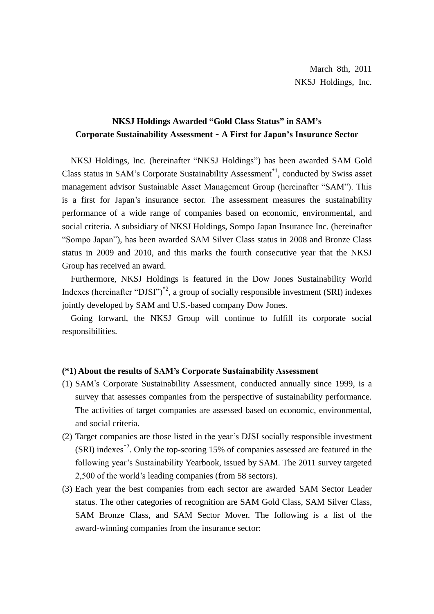# **NKSJ Holdings Awarded "Gold Class Status" in SAM's Corporate Sustainability Assessment** – **A First for Japan's Insurance Sector**

NKSJ Holdings, Inc. (hereinafter "NKSJ Holdings") has been awarded SAM Gold Class status in SAM's Corporate Sustainability Assessment<sup>\*1</sup>, conducted by Swiss asset management advisor Sustainable Asset Management Group (hereinafter "SAM"). This is a first for Japan's insurance sector. The assessment measures the sustainability performance of a wide range of companies based on economic, environmental, and social criteria. A subsidiary of NKSJ Holdings, Sompo Japan Insurance Inc. (hereinafter "Sompo Japan"), has been awarded SAM Silver Class status in 2008 and Bronze Class status in 2009 and 2010, and this marks the fourth consecutive year that the NKSJ Group has received an award.

Furthermore, NKSJ Holdings is featured in the Dow Jones Sustainability World Indexes (hereinafter "DJSI")<sup>\*2</sup>, a group of socially responsible investment (SRI) indexes jointly developed by SAM and U.S.-based company Dow Jones.

Going forward, the NKSJ Group will continue to fulfill its corporate social responsibilities.

## **(\*1) About the results of SAM's Corporate Sustainability Assessment**

- (1) SAM's Corporate Sustainability Assessment, conducted annually since 1999, is a survey that assesses companies from the perspective of sustainability performance. The activities of target companies are assessed based on economic, environmental, and social criteria.
- (2) Target companies are those listed in the year's DJSI socially responsible investment  $(SRI)$  indexes<sup>\*2</sup>. Only the top-scoring 15% of companies assessed are featured in the following year's Sustainability Yearbook, issued by SAM. The 2011 survey targeted 2,500 of the world's leading companies (from 58 sectors).
- (3) Each year the best companies from each sector are awarded SAM Sector Leader status. The other categories of recognition are SAM Gold Class, SAM Silver Class, SAM Bronze Class, and SAM Sector Mover. The following is a list of the award-winning companies from the insurance sector: